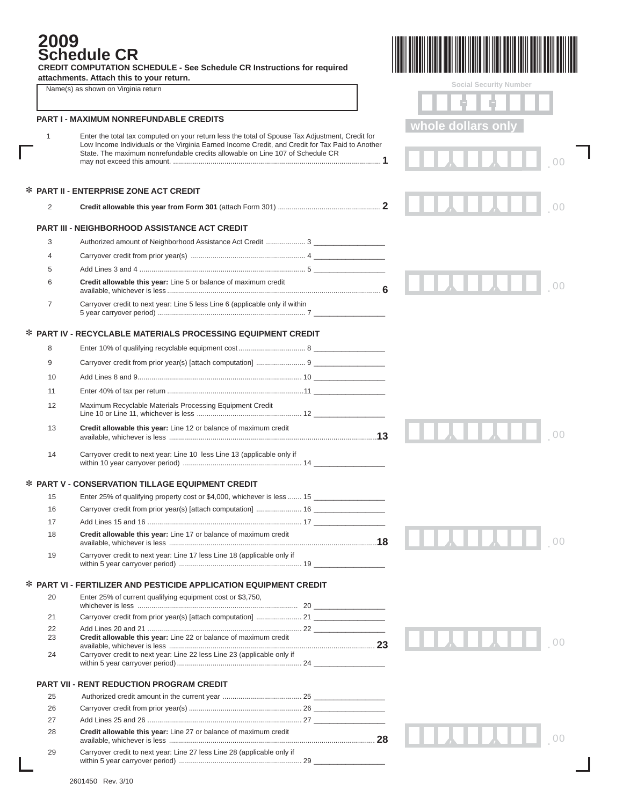## **2009 Schedule CR**

Г

| 2009           | <b>Schedule CR</b><br><b>CREDIT COMPUTATION SCHEDULE - See Schedule CR Instructions for required</b>                                                                             |  |                               |  |
|----------------|----------------------------------------------------------------------------------------------------------------------------------------------------------------------------------|--|-------------------------------|--|
|                | attachments. Attach this to your return.<br>Name(s) as shown on Virginia return                                                                                                  |  | <b>Social Security Number</b> |  |
|                |                                                                                                                                                                                  |  |                               |  |
|                | <b>PART I - MAXIMUM NONREFUNDABLE CREDITS</b>                                                                                                                                    |  | whole dollars only            |  |
| 1              | Enter the total tax computed on your return less the total of Spouse Tax Adjustment, Credit for                                                                                  |  |                               |  |
|                | Low Income Individuals or the Virginia Earned Income Credit, and Credit for Tax Paid to Another<br>State. The maximum nonrefundable credits allowable on Line 107 of Schedule CR |  |                               |  |
|                | * PART II - ENTERPRISE ZONE ACT CREDIT                                                                                                                                           |  |                               |  |
| $\overline{2}$ |                                                                                                                                                                                  |  |                               |  |
|                | <b>PART III - NEIGHBORHOOD ASSISTANCE ACT CREDIT</b>                                                                                                                             |  |                               |  |
| 3              | Authorized amount of Neighborhood Assistance Act Credit  3                                                                                                                       |  |                               |  |
| 4              |                                                                                                                                                                                  |  |                               |  |
| 5              |                                                                                                                                                                                  |  |                               |  |
| 6              | Credit allowable this year: Line 5 or balance of maximum credit                                                                                                                  |  |                               |  |
| $\overline{7}$ | Carryover credit to next year: Line 5 less Line 6 (applicable only if within                                                                                                     |  |                               |  |
|                | <b>* PART IV - RECYCLABLE MATERIALS PROCESSING EQUIPMENT CREDIT</b>                                                                                                              |  |                               |  |
| 8              |                                                                                                                                                                                  |  |                               |  |
| 9              |                                                                                                                                                                                  |  |                               |  |
| 10             |                                                                                                                                                                                  |  |                               |  |
| 11             |                                                                                                                                                                                  |  |                               |  |
| 12             | Maximum Recyclable Materials Processing Equipment Credit                                                                                                                         |  |                               |  |
| 13             | Credit allowable this year: Line 12 or balance of maximum credit                                                                                                                 |  |                               |  |
| 14             | Carryover credit to next year: Line 10 less Line 13 (applicable only if                                                                                                          |  |                               |  |
|                | <b>PART V - CONSERVATION TILLAGE EQUIPMENT CREDIT</b>                                                                                                                            |  |                               |  |
| 15             | Enter 25% of qualifying property cost or \$4,000, whichever is less  15 ______________________                                                                                   |  |                               |  |
| 16             | Carryover credit from prior year(s) [attach computation]  16                                                                                                                     |  |                               |  |
| 17             |                                                                                                                                                                                  |  |                               |  |
| 18             | Credit allowable this vear: Line 17 or balance of maximum credit                                                                                                                 |  |                               |  |
| 19             | Carryover credit to next year: Line 17 less Line 18 (applicable only if                                                                                                          |  |                               |  |
|                | <b>* PART VI - FERTILIZER AND PESTICIDE APPLICATION EQUIPMENT CREDIT</b>                                                                                                         |  |                               |  |
| 20             | Enter 25% of current qualifying equipment cost or \$3,750,                                                                                                                       |  |                               |  |
| 21             |                                                                                                                                                                                  |  |                               |  |
| 22             | Credit allowable this year: Line 22 or balance of maximum credit                                                                                                                 |  |                               |  |
| 23             |                                                                                                                                                                                  |  |                               |  |
| 24             | Carryover credit to next year: Line 22 less Line 23 (applicable only if                                                                                                          |  |                               |  |
|                | <b>PART VII - RENT REDUCTION PROGRAM CREDIT</b>                                                                                                                                  |  |                               |  |
| 25             |                                                                                                                                                                                  |  |                               |  |
| 26             |                                                                                                                                                                                  |  |                               |  |
| 27             |                                                                                                                                                                                  |  |                               |  |
| 28             | Credit allowable this year: Line 27 or balance of maximum credit                                                                                                                 |  |                               |  |
| 29             | Carryover credit to next year: Line 27 less Line 28 (applicable only if                                                                                                          |  |                               |  |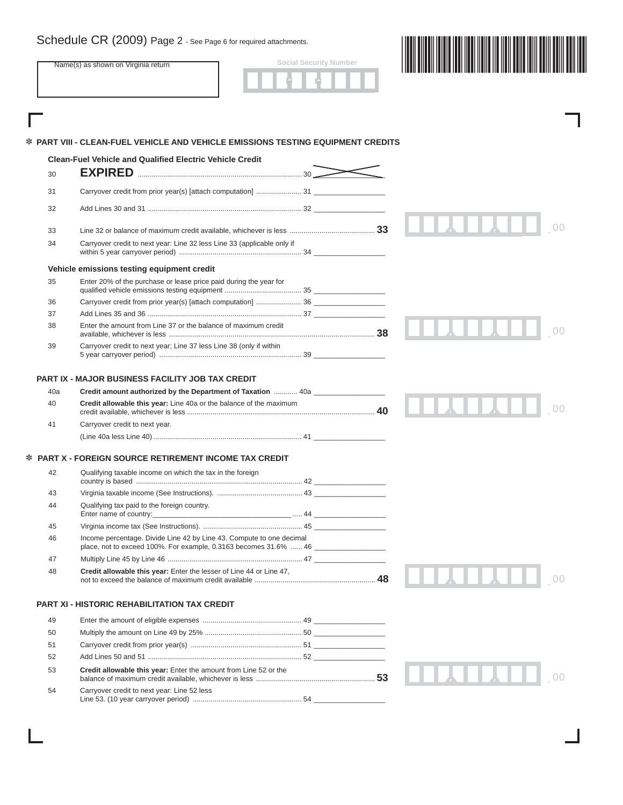Schedule CR (2009) Page 2 - See Page 6 for required attachments.

L

Name(s) as shown on Virginia return<br>Name(s) as shown on Virginia return<br>
Name(s) as shown on Virginia return<br>
Social Security Number<br>
Social Security Number<br>
Social Security Number<br>
Social Security Number<br>
Social Security

 $\blacksquare$ 

|     | <b>* PART VIII - CLEAN-FUEL VEHICLE AND VEHICLE EMISSIONS TESTING EQUIPMENT CREDITS</b>                                                  |  |                  |
|-----|------------------------------------------------------------------------------------------------------------------------------------------|--|------------------|
|     | Clean-Fuel Vehicle and Qualified Electric Vehicle Credit                                                                                 |  |                  |
| 30  |                                                                                                                                          |  |                  |
| 31  | Carryover credit from prior year(s) [attach computation]  31                                                                             |  |                  |
|     |                                                                                                                                          |  |                  |
| 32  |                                                                                                                                          |  |                  |
| 33  |                                                                                                                                          |  |                  |
| 34  | Carryover credit to next year: Line 32 less Line 33 (applicable only if                                                                  |  |                  |
|     |                                                                                                                                          |  |                  |
|     | Vehicle emissions testing equipment credit                                                                                               |  |                  |
| 35  | Enter 20% of the purchase or lease price paid during the year for                                                                        |  |                  |
| 36  |                                                                                                                                          |  |                  |
| 37  |                                                                                                                                          |  |                  |
| 38  | Enter the amount from Line 37 or the balance of maximum credit                                                                           |  |                  |
| 39  | Carryover credit to next year; Line 37 less Line 38 (only if within                                                                      |  |                  |
|     | <b>PART IX - MAJOR BUSINESS FACILITY JOB TAX CREDIT</b>                                                                                  |  |                  |
| 40a | Credit amount authorized by the Department of Taxation  40a __________________________                                                   |  |                  |
| 40  | Credit allowable this year: Line 40a or the balance of the maximum                                                                       |  |                  |
| 41  | Carryover credit to next year.                                                                                                           |  |                  |
|     |                                                                                                                                          |  |                  |
|     | <b>PART X - FOREIGN SOURCE RETIREMENT INCOME TAX CREDIT</b>                                                                              |  |                  |
| 42  | Qualifying taxable income on which the tax in the foreign                                                                                |  |                  |
| 43  |                                                                                                                                          |  |                  |
| 44  | Qualifying tax paid to the foreign country.                                                                                              |  |                  |
| 45  |                                                                                                                                          |  |                  |
| 46  | Income percentage. Divide Line 42 by Line 43. Compute to one decimal<br>place, not to exceed 100%. For example, 0.3163 becomes 31.6%  46 |  |                  |
| 47  |                                                                                                                                          |  |                  |
| 48  | Credit allowable this year: Enter the lesser of Line 44 or Line 47,                                                                      |  |                  |
|     |                                                                                                                                          |  | TATTALI .        |
|     | <b>PART XI - HISTORIC REHABILITATION TAX CREDIT</b>                                                                                      |  |                  |
| 49  |                                                                                                                                          |  |                  |
| 50  |                                                                                                                                          |  |                  |
| 51  |                                                                                                                                          |  |                  |
| 52  |                                                                                                                                          |  |                  |
| 53  | Credit allowable this year: Enter the amount from Line 52 or the                                                                         |  | <b>TRATIANIA</b> |
| 54  | Carryover credit to next year: Line 52 less                                                                                              |  |                  |
|     |                                                                                                                                          |  |                  |

**Social Security Number**

ı

- -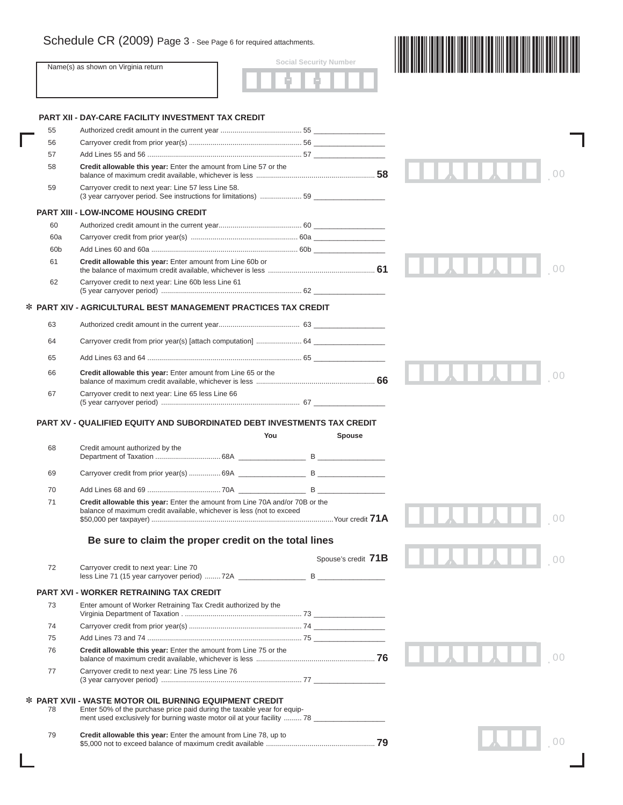## Schedule CR (2009) Page 3 - See Page 6 for required attachments.

 $\overline{\Gamma}$ 



┑

|                 | <b>PART XII - DAY-CARE FACILITY INVESTMENT TAX CREDIT</b>                                                                                             |                     |                                    |
|-----------------|-------------------------------------------------------------------------------------------------------------------------------------------------------|---------------------|------------------------------------|
| 55              |                                                                                                                                                       |                     |                                    |
| 56              |                                                                                                                                                       |                     |                                    |
| 57              |                                                                                                                                                       |                     |                                    |
| 58              | Credit allowable this year: Enter the amount from Line 57 or the                                                                                      |                     |                                    |
| 59              | Carryover credit to next year: Line 57 less Line 58.<br>(3 year carryover period. See instructions for limitations)  59                               |                     |                                    |
|                 |                                                                                                                                                       |                     |                                    |
|                 | PART XIII - LOW-INCOME HOUSING CREDIT                                                                                                                 |                     |                                    |
| 60              |                                                                                                                                                       |                     |                                    |
| 60a             |                                                                                                                                                       |                     |                                    |
| 60 <sub>b</sub> |                                                                                                                                                       |                     |                                    |
| 61              | Credit allowable this year: Enter amount from Line 60b or                                                                                             |                     |                                    |
| 62              | Carryover credit to next year: Line 60b less Line 61                                                                                                  |                     |                                    |
|                 |                                                                                                                                                       |                     |                                    |
| 63              |                                                                                                                                                       |                     |                                    |
| 64              | Carryover credit from prior year(s) [attach computation]  64                                                                                          |                     |                                    |
| 65              |                                                                                                                                                       |                     |                                    |
| 66              | Credit allowable this year: Enter amount from Line 65 or the                                                                                          |                     |                                    |
| 67              | Carryover credit to next year: Line 65 less Line 66                                                                                                   |                     |                                    |
|                 | <b>PART XV - QUALIFIED EQUITY AND SUBORDINATED DEBT INVESTMENTS TAX CREDIT</b>                                                                        |                     |                                    |
|                 | You                                                                                                                                                   | <b>Spouse</b>       |                                    |
| 68              | Credit amount authorized by the                                                                                                                       |                     |                                    |
| 69              |                                                                                                                                                       |                     |                                    |
| 70              |                                                                                                                                                       |                     |                                    |
| 71              | Credit allowable this year: Enter the amount from Line 70A and/or 70B or the<br>balance of maximum credit available, whichever is less (not to exceed |                     |                                    |
|                 | Be sure to claim the proper credit on the total lines                                                                                                 |                     |                                    |
|                 |                                                                                                                                                       |                     |                                    |
| 72              | Carryover credit to next year: Line 70                                                                                                                | Spouse's credit 71B | 00<br><u> La La La La La La La</u> |
|                 |                                                                                                                                                       |                     |                                    |
| 73              | <b>PART XVI - WORKER RETRAINING TAX CREDIT</b><br>Enter amount of Worker Retraining Tax Credit authorized by the                                      |                     |                                    |
|                 |                                                                                                                                                       |                     |                                    |
| 74              |                                                                                                                                                       |                     |                                    |
| 75              |                                                                                                                                                       |                     |                                    |
| 76              | Credit allowable this year: Enter the amount from Line 75 or the                                                                                      |                     |                                    |
| 77              | Carryover credit to next year: Line 75 less Line 76                                                                                                   |                     |                                    |
| 78              | Enter 50% of the purchase price paid during the taxable year for equip-<br>ment used exclusively for burning waste motor oil at your facility  78     |                     |                                    |

**Social Security Number**

- -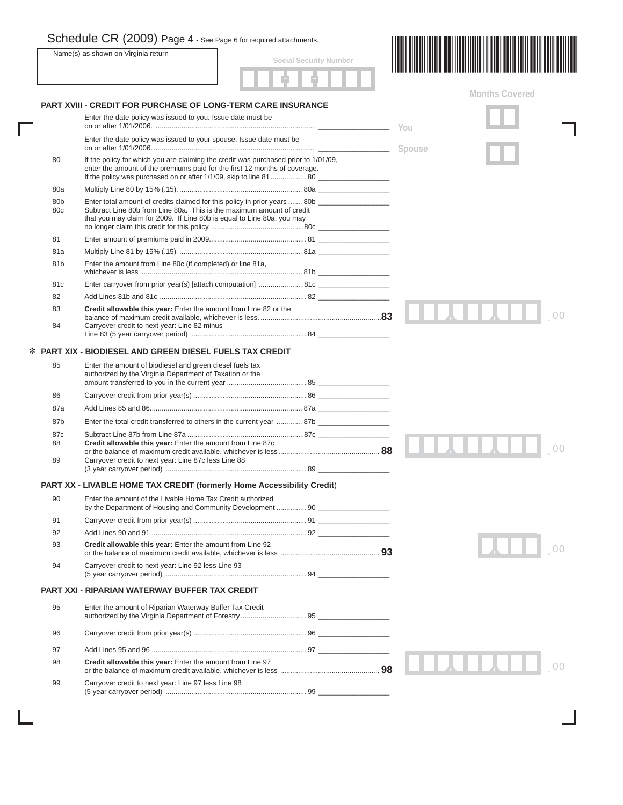



**Months Covered**

## **PART XVIII - CREDIT FOR PURCHASE OF LONG-TERM CARE INSURANCE**

**\***

Г

|            | Enter the date policy was issued to you. Issue date must be                                                                                                                                                                             |  |                        |  |
|------------|-----------------------------------------------------------------------------------------------------------------------------------------------------------------------------------------------------------------------------------------|--|------------------------|--|
|            | Enter the date policy was issued to your spouse. Issue date must be                                                                                                                                                                     |  |                        |  |
| 80         | If the policy for which you are claiming the credit was purchased prior to 1/01/09,<br>enter the amount of the premiums paid for the first 12 months of coverage.<br>If the policy was purchased on or after 1/1/09, skip to line 81 80 |  |                        |  |
| 80a        |                                                                                                                                                                                                                                         |  |                        |  |
| 80b<br>80c | Enter total amount of credits claimed for this policy in prior years  80b<br>Subtract Line 80b from Line 80a. This is the maximum amount of credit<br>that you may claim for 2009. If Line 80b is equal to Line 80a, you may            |  |                        |  |
| 81         |                                                                                                                                                                                                                                         |  |                        |  |
| 81a        |                                                                                                                                                                                                                                         |  |                        |  |
| 81b        | Enter the amount from Line 80c (if completed) or line 81a,                                                                                                                                                                              |  |                        |  |
| 81c        | Enter carryover from prior year(s) [attach computation] 81c                                                                                                                                                                             |  |                        |  |
| 82         |                                                                                                                                                                                                                                         |  |                        |  |
| 83         | Credit allowable this year: Enter the amount from Line 82 or the                                                                                                                                                                        |  |                        |  |
| 84         | Carryover credit to next year: Line 82 minus                                                                                                                                                                                            |  |                        |  |
|            | PART XIX - BIODIESEL AND GREEN DIESEL FUELS TAX CREDIT                                                                                                                                                                                  |  |                        |  |
| 85         | Enter the amount of biodiesel and green diesel fuels tax<br>authorized by the Virginia Department of Taxation or the                                                                                                                    |  |                        |  |
| 86         |                                                                                                                                                                                                                                         |  |                        |  |
| 87a        |                                                                                                                                                                                                                                         |  |                        |  |
| 87b        | Enter the total credit transferred to others in the current year  87b                                                                                                                                                                   |  |                        |  |
| 87c<br>88  | Credit allowable this year: Enter the amount from Line 87c                                                                                                                                                                              |  |                        |  |
| 89         | Carryover credit to next year: Line 87c less Line 88                                                                                                                                                                                    |  |                        |  |
|            |                                                                                                                                                                                                                                         |  |                        |  |
|            | PART XX - LIVABLE HOME TAX CREDIT (formerly Home Accessibility Credit)                                                                                                                                                                  |  |                        |  |
| 90         | Enter the amount of the Livable Home Tax Credit authorized<br>by the Department of Housing and Community Development  90                                                                                                                |  |                        |  |
| 91         |                                                                                                                                                                                                                                         |  |                        |  |
| 92         |                                                                                                                                                                                                                                         |  |                        |  |
| 93         | Credit allowable this year: Enter the amount from Line 92                                                                                                                                                                               |  |                        |  |
| 94         | Carryover credit to next year: Line 92 less Line 93                                                                                                                                                                                     |  |                        |  |
|            | PART XXI - RIPARIAN WATERWAY BUFFER TAX CREDIT                                                                                                                                                                                          |  |                        |  |
| 95         | Enter the amount of Riparian Waterway Buffer Tax Credit                                                                                                                                                                                 |  |                        |  |
| 96         |                                                                                                                                                                                                                                         |  |                        |  |
| 97         |                                                                                                                                                                                                                                         |  |                        |  |
| 98         | Credit allowable this year: Enter the amount from Line 97                                                                                                                                                                               |  | <b>FELIX FELIX FEL</b> |  |
| 99         | Carryover credit to next year: Line 97 less Line 98                                                                                                                                                                                     |  |                        |  |
|            |                                                                                                                                                                                                                                         |  |                        |  |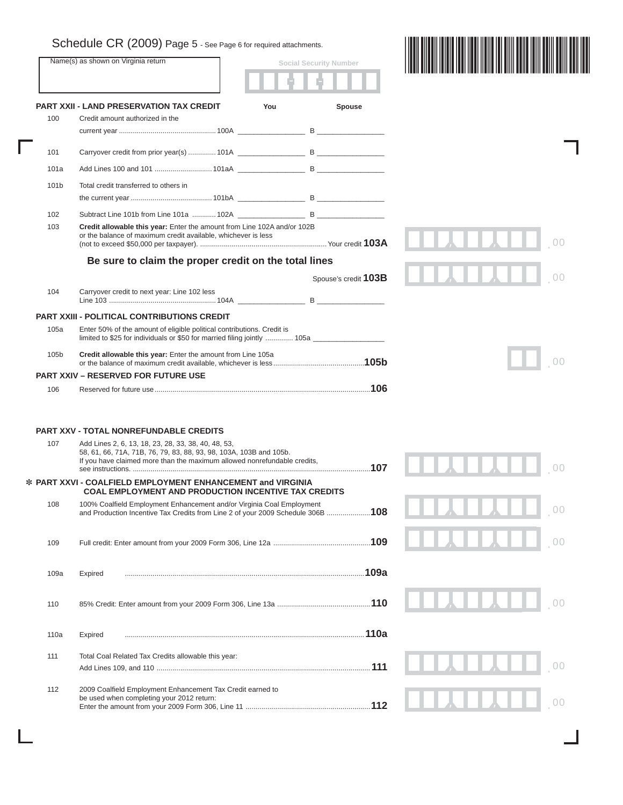| Schedule CR (2009) Page 5 - See Page 6 for required attachments.<br>Name(s) as shown on Virginia return<br><b>Social Security Number</b> |                                                                                                                                                                   |     |                      |  |  |
|------------------------------------------------------------------------------------------------------------------------------------------|-------------------------------------------------------------------------------------------------------------------------------------------------------------------|-----|----------------------|--|--|
|                                                                                                                                          |                                                                                                                                                                   |     |                      |  |  |
|                                                                                                                                          |                                                                                                                                                                   |     |                      |  |  |
|                                                                                                                                          | <b>PART XXII - LAND PRESERVATION TAX CREDIT</b>                                                                                                                   | You | <b>Spouse</b>        |  |  |
| 100                                                                                                                                      | Credit amount authorized in the                                                                                                                                   |     |                      |  |  |
|                                                                                                                                          |                                                                                                                                                                   |     |                      |  |  |
| 101                                                                                                                                      |                                                                                                                                                                   |     |                      |  |  |
| 101a                                                                                                                                     |                                                                                                                                                                   |     |                      |  |  |
| 101b                                                                                                                                     | Total credit transferred to others in                                                                                                                             |     |                      |  |  |
|                                                                                                                                          |                                                                                                                                                                   |     |                      |  |  |
| 102                                                                                                                                      |                                                                                                                                                                   |     |                      |  |  |
| 103                                                                                                                                      | Credit allowable this year: Enter the amount from Line 102A and/or 102B<br>or the balance of maximum credit available, whichever is less                          |     |                      |  |  |
|                                                                                                                                          | Be sure to claim the proper credit on the total lines                                                                                                             |     |                      |  |  |
|                                                                                                                                          |                                                                                                                                                                   |     | Spouse's credit 103B |  |  |
| 104                                                                                                                                      | Carryover credit to next year: Line 102 less                                                                                                                      |     |                      |  |  |
|                                                                                                                                          | <b>PART XXIII - POLITICAL CONTRIBUTIONS CREDIT</b>                                                                                                                |     |                      |  |  |
| 105a                                                                                                                                     | Enter 50% of the amount of eligible political contributions. Credit is<br>limited to \$25 for individuals or \$50 for married filing jointly  105a ______________ |     |                      |  |  |
| 105b                                                                                                                                     | Credit allowable this year: Enter the amount from Line 105a                                                                                                       |     |                      |  |  |
|                                                                                                                                          | <b>PART XXIV - RESERVED FOR FUTURE USE</b>                                                                                                                        |     |                      |  |  |
| 106                                                                                                                                      |                                                                                                                                                                   |     |                      |  |  |
|                                                                                                                                          |                                                                                                                                                                   |     |                      |  |  |
| 107                                                                                                                                      | <b>PART XXV - TOTAL NONREFUNDABLE CREDITS</b><br>Add Lines 2, 6, 13, 18, 23, 28, 33, 38, 40, 48, 53,                                                              |     |                      |  |  |
|                                                                                                                                          | 58, 61, 66, 71A, 71B, 76, 79, 83, 88, 93, 98, 103A, 103B and 105b.<br>If you have claimed more than the maximum allowed nonrefundable credits,                    |     |                      |  |  |
|                                                                                                                                          | * PART XXVI - COALFIELD EMPLOYMENT ENHANCEMENT and VIRGINIA<br><b>COAL EMPLOYMENT AND PRODUCTION INCENTIVE TAX CREDITS</b>                                        |     |                      |  |  |
| 108                                                                                                                                      | 100% Coalfield Employment Enhancement and/or Virginia Coal Employment<br>and Production Incentive Tax Credits from Line 2 of your 2009 Schedule 306B 108          |     |                      |  |  |
| 109                                                                                                                                      |                                                                                                                                                                   |     |                      |  |  |
|                                                                                                                                          |                                                                                                                                                                   |     |                      |  |  |
| 109a                                                                                                                                     | Expired                                                                                                                                                           |     |                      |  |  |
| 110                                                                                                                                      |                                                                                                                                                                   |     |                      |  |  |
| 110a                                                                                                                                     | Expired                                                                                                                                                           |     |                      |  |  |
|                                                                                                                                          |                                                                                                                                                                   |     |                      |  |  |
| 111                                                                                                                                      | Total Coal Related Tax Credits allowable this year:                                                                                                               |     |                      |  |  |

 $00 \,$ 

| 112 | 2009 Coalfield Employment Enhancement Tax Credit earned to |  |
|-----|------------------------------------------------------------|--|
|     | be used when completing your 2012 return:                  |  |
|     |                                                            |  |

Г